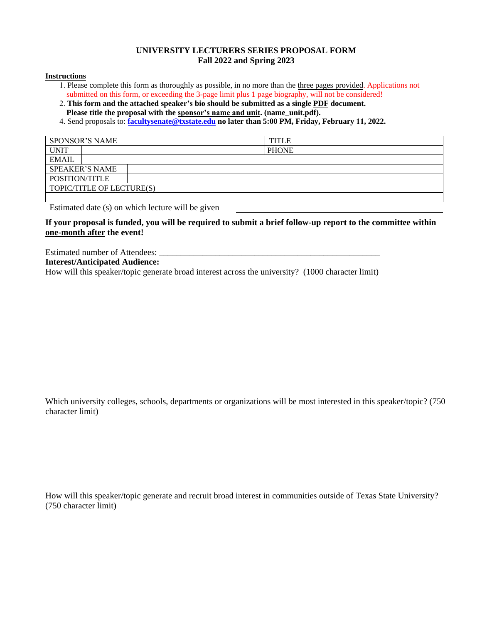# **UNIVERSITY LECTURERS SERIES PROPOSAL FORM Fall 2022 and Spring 2023**

#### **Instructions**

- 1. Please complete this form as thoroughly as possible, in no more than the three pages provided. Applications not submitted on this form, or exceeding the 3-page limit plus 1 page biography, will not be considered!
- 2. **This form and the attached speaker's bio should be submitted as a single PDF document. Please title the proposal with the sponsor's name and unit. (name\_unit.pdf).**
- 4. Send proposals to: **[facultysenate@txstate.edu](mailto:facultysenate@txstate.edu) no later than 5:00 PM, Friday, February 11, 2022.**

| <b>SPONSOR'S NAME</b>     |                       |  |  | <b>TITLE</b> |  |
|---------------------------|-----------------------|--|--|--------------|--|
| <b>UNIT</b>               |                       |  |  | <b>PHONE</b> |  |
| <b>EMAIL</b>              |                       |  |  |              |  |
|                           | <b>SPEAKER'S NAME</b> |  |  |              |  |
| POSITION/TITLE            |                       |  |  |              |  |
| TOPIC/TITLE OF LECTURE(S) |                       |  |  |              |  |
|                           |                       |  |  |              |  |

Estimated date (s) on which lecture will be given

## **If your proposal is funded, you will be required to submit a brief follow-up report to the committee within one-month after the event!**

Estimated number of Attendees: **Interest/Anticipated Audience:**

How will this speaker/topic generate broad interest across the university? (1000 character limit)

Which university colleges, schools, departments or organizations will be most interested in this speaker/topic? (750 character limit)

How will this speaker/topic generate and recruit broad interest in communities outside of Texas State University? (750 character limit)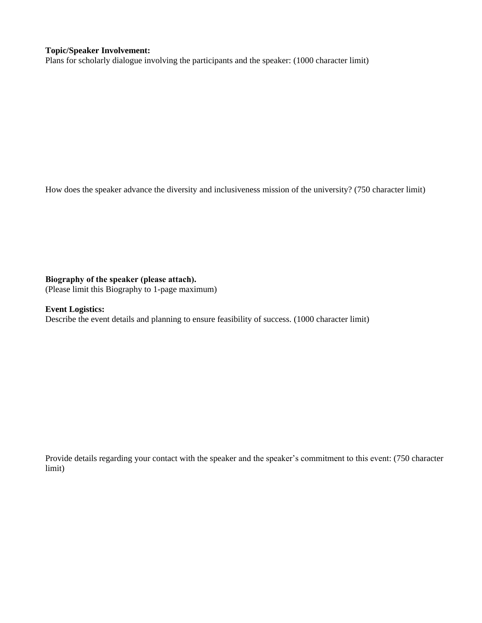## **Topic/Speaker Involvement:**

Plans for scholarly dialogue involving the participants and the speaker: (1000 character limit)

How does the speaker advance the diversity and inclusiveness mission of the university? (750 character limit)

## **Biography of the speaker (please attach).**

(Please limit this Biography to 1-page maximum)

# **Event Logistics:**

Describe the event details and planning to ensure feasibility of success. (1000 character limit)

Provide details regarding your contact with the speaker and the speaker's commitment to this event: (750 character limit)